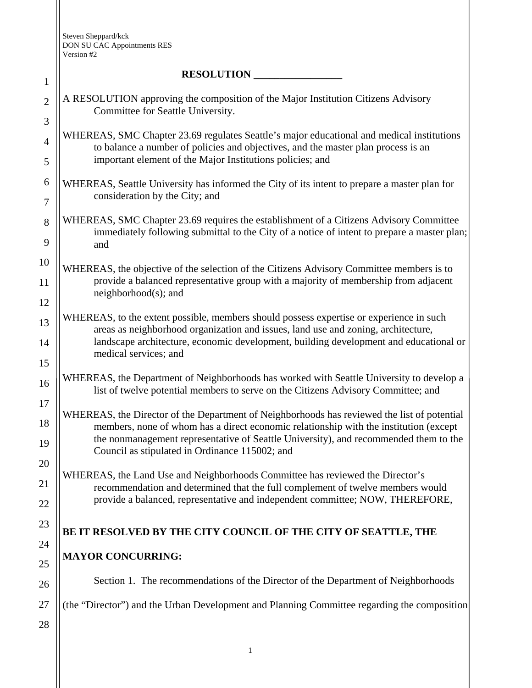Steven Sheppard/kck DON SU CAC Appointments RES Version #2

## $\bf PECO$ **I**  $\bf IITION$

| $\mathbf{1}$        | <b>RESOLUTION</b>                                                                                                                                                                                                                                                                                                                                                                                                                                                                                                                                                                                                                                                                                                                                                                                                                                                                                                  |  |  |  |  |  |
|---------------------|--------------------------------------------------------------------------------------------------------------------------------------------------------------------------------------------------------------------------------------------------------------------------------------------------------------------------------------------------------------------------------------------------------------------------------------------------------------------------------------------------------------------------------------------------------------------------------------------------------------------------------------------------------------------------------------------------------------------------------------------------------------------------------------------------------------------------------------------------------------------------------------------------------------------|--|--|--|--|--|
| $\mathbf{2}$<br>3   | A RESOLUTION approving the composition of the Major Institution Citizens Advisory<br>Committee for Seattle University.<br>WHEREAS, SMC Chapter 23.69 regulates Seattle's major educational and medical institutions<br>to balance a number of policies and objectives, and the master plan process is an<br>important element of the Major Institutions policies; and<br>WHEREAS, Seattle University has informed the City of its intent to prepare a master plan for<br>consideration by the City; and<br>WHEREAS, SMC Chapter 23.69 requires the establishment of a Citizens Advisory Committee<br>immediately following submittal to the City of a notice of intent to prepare a master plan;<br>and<br>WHEREAS, the objective of the selection of the Citizens Advisory Committee members is to<br>provide a balanced representative group with a majority of membership from adjacent<br>neighborhood(s); and |  |  |  |  |  |
| $\overline{4}$<br>5 |                                                                                                                                                                                                                                                                                                                                                                                                                                                                                                                                                                                                                                                                                                                                                                                                                                                                                                                    |  |  |  |  |  |
| 6<br>$\tau$         |                                                                                                                                                                                                                                                                                                                                                                                                                                                                                                                                                                                                                                                                                                                                                                                                                                                                                                                    |  |  |  |  |  |
| 8<br>9              |                                                                                                                                                                                                                                                                                                                                                                                                                                                                                                                                                                                                                                                                                                                                                                                                                                                                                                                    |  |  |  |  |  |
| 10<br>11<br>12      |                                                                                                                                                                                                                                                                                                                                                                                                                                                                                                                                                                                                                                                                                                                                                                                                                                                                                                                    |  |  |  |  |  |
| 13<br>14            | WHEREAS, to the extent possible, members should possess expertise or experience in such<br>areas as neighborhood organization and issues, land use and zoning, architecture,<br>landscape architecture, economic development, building development and educational or<br>medical services; and                                                                                                                                                                                                                                                                                                                                                                                                                                                                                                                                                                                                                     |  |  |  |  |  |
| 15<br>16            | WHEREAS, the Department of Neighborhoods has worked with Seattle University to develop a<br>list of twelve potential members to serve on the Citizens Advisory Committee; and                                                                                                                                                                                                                                                                                                                                                                                                                                                                                                                                                                                                                                                                                                                                      |  |  |  |  |  |
| 17<br>18<br>19      | WHEREAS, the Director of the Department of Neighborhoods has reviewed the list of potential<br>members, none of whom has a direct economic relationship with the institution (except<br>the nonmanagement representative of Seattle University), and recommended them to the<br>Council as stipulated in Ordinance 115002; and                                                                                                                                                                                                                                                                                                                                                                                                                                                                                                                                                                                     |  |  |  |  |  |
| 20<br>21<br>22      | WHEREAS, the Land Use and Neighborhoods Committee has reviewed the Director's<br>recommendation and determined that the full complement of twelve members would<br>provide a balanced, representative and independent committee; NOW, THEREFORE,<br>BE IT RESOLVED BY THE CITY COUNCIL OF THE CITY OF SEATTLE, THE                                                                                                                                                                                                                                                                                                                                                                                                                                                                                                                                                                                                 |  |  |  |  |  |
| 23<br>24            |                                                                                                                                                                                                                                                                                                                                                                                                                                                                                                                                                                                                                                                                                                                                                                                                                                                                                                                    |  |  |  |  |  |
| 25                  | <b>MAYOR CONCURRING:</b>                                                                                                                                                                                                                                                                                                                                                                                                                                                                                                                                                                                                                                                                                                                                                                                                                                                                                           |  |  |  |  |  |
| 26                  | Section 1. The recommendations of the Director of the Department of Neighborhoods                                                                                                                                                                                                                                                                                                                                                                                                                                                                                                                                                                                                                                                                                                                                                                                                                                  |  |  |  |  |  |
| 27<br>28            | (the "Director") and the Urban Development and Planning Committee regarding the composition                                                                                                                                                                                                                                                                                                                                                                                                                                                                                                                                                                                                                                                                                                                                                                                                                        |  |  |  |  |  |
|                     |                                                                                                                                                                                                                                                                                                                                                                                                                                                                                                                                                                                                                                                                                                                                                                                                                                                                                                                    |  |  |  |  |  |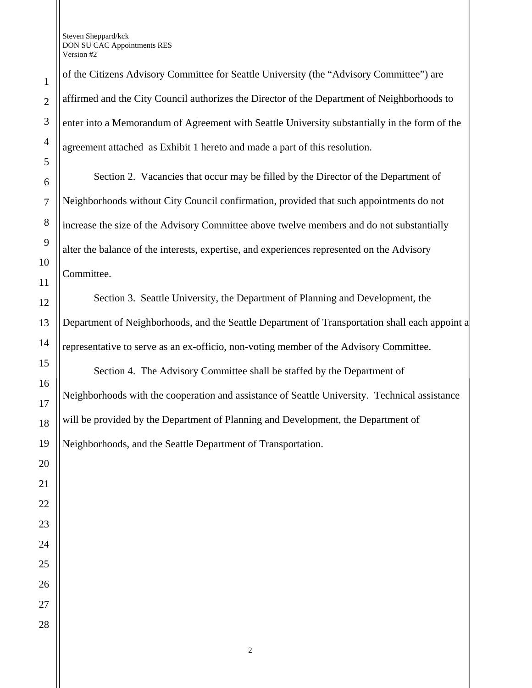Steven Sheppard/kck DON SU CAC Appointments RES Version #2

of the Citizens Advisory Committee for Seattle University (the "Advisory Committee") are affirmed and the City Council authorizes the Director of the Department of Neighborhoods to enter into a Memorandum of Agreement with Seattle University substantially in the form of the agreement attached as Exhibit 1 hereto and made a part of this resolution.

Section 2. Vacancies that occur may be filled by the Director of the Department of Neighborhoods without City Council confirmation, provided that such appointments do not increase the size of the Advisory Committee above twelve members and do not substantially alter the balance of the interests, expertise, and experiences represented on the Advisory Committee.

Section 3. Seattle University, the Department of Planning and Development, the Department of Neighborhoods, and the Seattle Department of Transportation shall each appoint a representative to serve as an ex-officio, non-voting member of the Advisory Committee.

Section 4. The Advisory Committee shall be staffed by the Department of Neighborhoods with the cooperation and assistance of Seattle University. Technical assistance will be provided by the Department of Planning and Development, the Department of Neighborhoods, and the Seattle Department of Transportation.